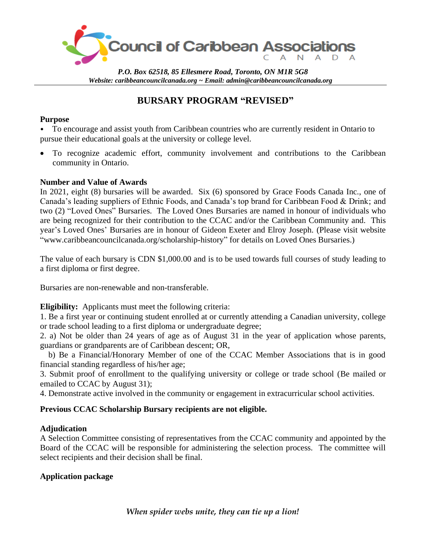

*P.O. Box 62518, 85 Ellesmere Road, Toronto, ON M1R 5G8 Website: caribbeancouncilcanada.org ~ Email: [admin@caribbeancouncilcanada.org](mailto:admin@caribbeancouncilcanada.org)*

# **BURSARY PROGRAM "REVISED"**

#### **Purpose**

• To encourage and assist youth from Caribbean countries who are currently resident in Ontario to pursue their educational goals at the university or college level.

• To recognize academic effort, community involvement and contributions to the Caribbean community in Ontario.

#### **Number and Value of Awards**

In 2021, eight (8) bursaries will be awarded. Six (6) sponsored by Grace Foods Canada Inc., one of Canada's leading suppliers of Ethnic Foods, and Canada's top brand for Caribbean Food & Drink; and two (2) "Loved Ones" Bursaries. The Loved Ones Bursaries are named in honour of individuals who are being recognized for their contribution to the CCAC and/or the Caribbean Community and. This year's Loved Ones' Bursaries are in honour of Gideon Exeter and Elroy Joseph. (Please visit website "www.caribbeancouncilcanada.org/scholarship-history" for details on Loved Ones Bursaries.)

The value of each bursary is CDN \$1,000.00 and is to be used towards full courses of study leading to a first diploma or first degree.

Bursaries are non-renewable and non-transferable.

**Eligibility:** Applicants must meet the following criteria:

1. Be a first year or continuing student enrolled at or currently attending a Canadian university, college or trade school leading to a first diploma or undergraduate degree;

2. a) Not be older than 24 years of age as of August 31 in the year of application whose parents, guardians or grandparents are of Caribbean descent; OR,

 b) Be a Financial/Honorary Member of one of the CCAC Member Associations that is in good financial standing regardless of his/her age;

3. Submit proof of enrollment to the qualifying university or college or trade school (Be mailed or emailed to CCAC by August 31);

4. Demonstrate active involved in the community or engagement in extracurricular school activities.

#### **Previous CCAC Scholarship Bursary recipients are not eligible.**

#### **Adjudication**

A Selection Committee consisting of representatives from the CCAC community and appointed by the Board of the CCAC will be responsible for administering the selection process. The committee will select recipients and their decision shall be final.

#### **Application package**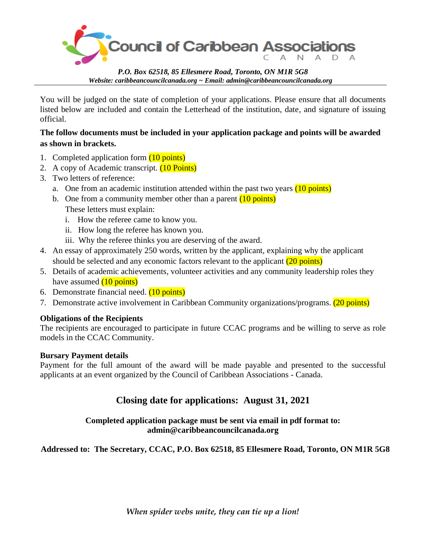

*P.O. Box 62518, 85 Ellesmere Road, Toronto, ON M1R 5G8 Website: caribbeancouncilcanada.org ~ Email: [admin@caribbeancouncilcanada.org](mailto:admin@caribbeancouncilcanada.org)*

You will be judged on the state of completion of your applications. Please ensure that all documents listed below are included and contain the Letterhead of the institution, date, and signature of issuing official.

#### **The follow documents must be included in your application package and points will be awarded as shown in brackets.**

- 1. Completed application form (10 points)
- 2. A copy of Academic transcript. (10 Points)
- 3. Two letters of reference:
	- a. One from an academic institution attended within the past two years (10 points)
	- b. One from a community member other than a parent  $(10 \text{ points})$ These letters must explain:
		- i. How the referee came to know you.
		- ii. How long the referee has known you.
		- iii. Why the referee thinks you are deserving of the award.
- 4. An essay of approximately 250 words, written by the applicant, explaining why the applicant should be selected and any economic factors relevant to the applicant (20 points)
- 5. Details of academic achievements, volunteer activities and any community leadership roles they have assumed  $(10 \text{ points})$
- 6. Demonstrate financial need. (10 points)
- 7. Demonstrate active involvement in Caribbean Community organizations/programs. (20 points)

#### **Obligations of the Recipients**

The recipients are encouraged to participate in future CCAC programs and be willing to serve as role models in the CCAC Community.

#### **Bursary Payment details**

Payment for the full amount of the award will be made payable and presented to the successful applicants at an event organized by the Council of Caribbean Associations - Canada.

### **Closing date for applications: August 31, 2021**

#### **Completed application package must be sent via email in pdf format to: admin@caribbeancouncilcanada.org**

### **Addressed to: The Secretary, CCAC, P.O. Box 62518, 85 Ellesmere Road, Toronto, ON M1R 5G8**

*When spider webs unite, they can tie up a lion!*